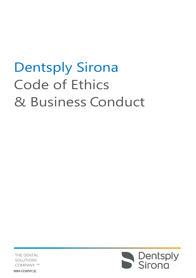# Dentsply Sirona Code of Ethics & Business Conduct



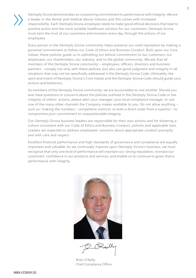Dentsply Sirona demonstrates an unwavering commitment to performance with integrity. Weare a leader in the dental and medical device industry and this comes with increased responsibility. Each DentsplySirona employee needs to make good ethical decisions that lead to positive action and the most suitable healthcare solution for our customers. Dentsply Sirona must earn the trust of our customers and investors every day, through the actions of our employees.

Every person in the Dentsply Sirona community helps preserve our solid reputation by making a personal commitment to follow our Code of Ethics and Business Conduct. Built upon our Core Values, these policies guide us in upholding our ethical commitment to our customers, our employees, our shareholders, our industry, and to the global community. We ask that all members of the Dentsply Sirona community – employees, officers, directors and business partners - comply not only with these policies, but also use good judgment and integrity in all situations that may not be specifically addressed in the Dentsply Sirona Code. Ultimately, the spirit and intent of Dentsply Sirona's Core Values and the Dentsply Sirona Code should guide your actions and behaviors.

As members of the Dentsply Sirona community, we are accountable to one another. Should you ever have questions or concerns about the policies outlined in the Dentsply Sirona Code or the integrity of others' actions, please alert your manager, your local compliance manager, or use one of the many other channels the Company makes available to you. Do not allow anything – such as "making the numbers," competitive instincts, or even a direct order from a superior – to compromise your commitment to unquestionable integrity.

Our Dentsply Sirona business leaders are responsible for their own actions and for fostering a culture consistent with our Code of Ethics and Business Conduct, policies and applicable laws. Leaders are expected to address employees' concerns about appropriate conduct promptly and with care and respect.

Excellent financial performance and high standards of governance and compliance are equally important and valuable. As we continually improve upon Dentsply Sirona's business, we must recognize that only one kind of performance will maintain our strong reputation, increase our customers' confidence in our products and services, and enable us to continue to grow; that is performance with integrity.



Brian O'Reilly Chief Compliance Officer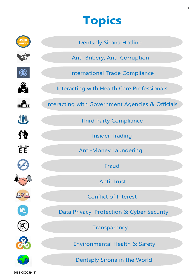### **Topics**



9083-CCD059 [3]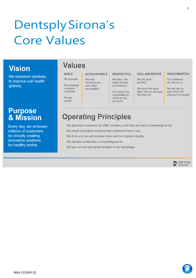## DentsplySirona's Core Values

### **Vision**

We transform dentistry to improve oral health globally.

### **Purpose** & Mission

Every day, we empower millions of customers by proudly creating innovative solutions for healthy smiles

### **Values**

### **AGILE**

#### We innovate. We challenge ourselves

We act quickly.

Î.

constantly.

#### **ACCOUNTABLE RESPECTFUL**

We listen. We foster diversity and inclusion.

We respect the communities in which we live and work.

#### **COLLABORATIVE**

We are good

We have fun.

partners. We learn from each other. We are one team.

#### **TRUSTWORTHY**

Our customers can rely on us.

We can rely on each other. We empower our people.

### **Operating Principles**

We hold

ourselves and

each other

accountable.

- We approach customers as ONE Company, and they are core to everything we do.
- We create innovative solutions that customers love to use.
- We think and act with positive intent and the highest integrity.
- We operate sustainably in everything we do. Î.
- We use our size and global breadth to our advantage. à,



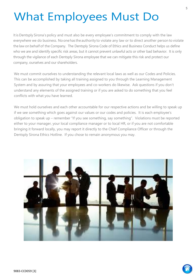## What Employees Must Do

Itis Dentsply Sirona's policy and must also be every employee's commitment to comply with the law everywhere we do business. No one has the authority to violate any law or to direct another person to violate the law on behalf of the Company. The Dentsply Sirona Code of Ethics and Business Conduct helps us define who we are and identify specific risk areas, but it cannot prevent unlawful acts or other bad behavior. It is only through the vigilance of each Dentsply Sirona employee that we can mitigate this risk and protect our company, ourselves and our shareholders.

We must commit ourselves to understanding the relevant local laws as well as our Codes and Policies. This can be accomplished by taking all training assigned to you through the Learning Management System and by assuring that your employees and co-workers do likewise. Ask questions if you don't understand any elements of the assigned training or if you are asked to do something that you feel conflicts with what you have learned.

We must hold ourselves and each other accountable for our respective actions and be willing to speak up if we see something which goes against our values or our codes and policies. It is each employee's obligation to speak up – remember "If you see something, say something". Violations must be reported either to your manager, your local compliance manager or to local HR, or if you are not comfortable bringing it forward locally, you may report it directly to the Chief Compliance Officer or through the Dentsply Sirona Ethics Hotline. If you chose to remain anonymous you may.



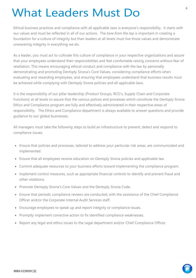### What Leaders Must Do

Ethical business practices and compliance with all applicable laws is everyone's responsibility. It starts with our values and must be reflected in all of our actions. The *tone from the top* is important in creating a foundation for a culture of integrity but then leaders at all levels must live those values and demonstrate unwavering integrity in everything we do.

As a leader, you must act to cultivate this culture of compliance in your respective organizations and assure that your employees understand their responsibilities and feel comfortable raising concerns without fear of retaliation. This means encouraging ethical conduct and compliance with the law by personally demonstrating and promoting Dentsply Sirona's Core Values, considering compliance efforts when evaluating and rewarding employees, and ensuring that employees understand that business results must be achieved while complying with Dentsply Sirona policies and all applicable laws.

It is the responsibility of our pillar leadership (Product Groups, RCO's, Supply Chain and Corporate Functions) at all levels to assure that the various polices and processes which constitute the Dentsply Sirona Ethics and Compliance program are fully and effectively administered in their respective areas of responsibility. The Ethics and Compliance department is always available to answer questions and provide guidance to our global businesses.

All managers must take the following steps to build an infrastructure to prevent, detect and respond to compliance issues:

- Ensure that policies and processes, tailored to address your particular risk areas, are communicated and implemented.
- Ensure that all employees receive education on Dentsply Sirona policies and applicable law.
- Commit adequate resources to your business efforts toward implementing the compliance program.
- Implement control measures, such as appropriate financial controls to identify and prevent fraud and other violations.
- Promote Dentsply Sirona's Core Values and the Dentsply Sirona Code.
- Ensure that periodic compliance reviews are conducted, with the assistance of the Chief Compliance Officer and/or the Corporate Internal Audit Services staff.
- Encourage employees to speak up and report integrity or compliance issues.
- Promptly implement corrective action to fix identified compliance weaknesses.
- Report any legal and ethics issues to the Legal department and/or Chief Compliance Officer.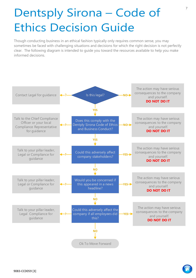### Dentsply Sirona – Code of Ethics Decision Guide

Though conducting business in an ethical fashion typically only requires common sense, you may sometimes be faced with challenging situations and decisions for which the right decision is not perfectly clear. The following diagram is intended to guide you toward the resources available to help you make informed decisions.



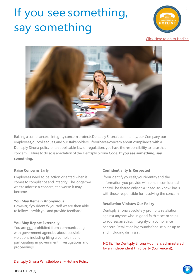## <span id="page-7-0"></span>If you see something, say something



[Click Here to go to Hotline](https://app.convercent.com/en-us/LandingPage/27d3d9e0-4a47-e311-b708-80c16e20c34c)



Raising a compliance or integrity concern protects Dentsply Sirona's community, our Company, our employees,ourcolleagues,andourstakeholders. Ifyouhaveaconcern about compliance with a Dentsply Sirona policy or an applicable law or regulation, you have the responsibility to raise that concern. Failure to do so is a violation ofthe Dentsply Sirona Code. **If you see something, say something.**

#### **Raise Concerns Early**

Employees need to be action oriented when it comes to compliance and integrity. The longer we wait to address a concern, the worse it may become.

#### **You May Remain Anonymous**

However,if youidentify yourself,weare then able to follow up with you and provide feedback.

#### **You May Report Externally**

You are not prohibited from communicating with government agencies about possible violations including filing a complaint and participating in government investigations and proceedings.

#### **Confidentiality Is Respected**

If youidentify yourself, youridentity and the information you provide will remain confidential and will be shared only on a "need-to-know"basis with those responsible for resolving the concern.

#### **Retaliation Violates Our Policy**

Dentsply Sirona absolutely prohibits retaliation against anyone who in good faith raises or helps to address an ethics, integrity or a compliance concern.Retaliation is grounds for discipline up to and including dismissal.

#### NOTE: The Dentsply Sirona Hotline is administered by an independent third party (Convercent).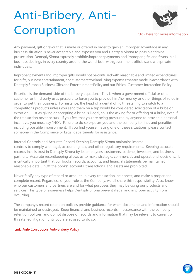## <span id="page-8-0"></span>Anti-Bribery, Anti-Corruption



[Click here for more information](https://dentsplysirona.sharepoint.com/:p:/s/ComplianceEthics/EYxJVSJ9aeJImiOT8ZFAaxwBu8HpAOT5lzVZz4zUk56CVg?rtime=i4fY5nEm10g)

Any payment, gift or favor that is made or offered in order to gain an improper advantage in any business situation is never acceptable and exposes you and Dentsply Sirona to possiblecriminal prosecution. DentsplySironaexpresslyprohibits improperpayments and improper gifts and favors in all business dealings in every country around the world, both with government officials and with private individuals.

Improperpayments and improper gifts should not be confused with reasonable and limited expenditures for gifts, business entertainment, and customer travel and living expenses that are made in accordance with Dentsply Sirona's Business Gifts and Entertainment Policy and our Ethical Customer Interaction Policy.

Extortion is the demand-side of the bribery equation. This is when a government official or other customer or third party uses pressure to force you to provide him/her money or other things of value in order to get their business. For instance, the head of a dental clinic threatening to switch to a competitor's products unless you send them on a trip would be considered solicitation of a bribe or extortion. Just as giving or accepting a bribe is illegal, so is the asking for or offering of a bribe, even if the transaction never occurs. If you feel that you are being pressured by anyone to provide a personal incentive, you must say "NO". Failure to do so exposes you and the company to fines and penalties including possible imprisonment. If you find yourself facing one of these situations, please contact someone in the Compliance or Legal departments for assistance.

Internal Controls and Accurate Record Keeping Dentsply Sirona maintains internal controls to comply with legal, accounting, tax, and other regulatory requirements. Keeping accurate records instills trust in Dentsply Sirona by its employees, customers, patients, investors, and business partners. Accurate recordkeeping allows us to make strategic, commercial, and operational decisions. It is critically important that our books, records, accounts, and financial statements be maintained in reasonable detail. "Off the books" accounts, transactions, and assets are prohibited.

Never falsify any type of record or account. In every transaction, be honest, and make a proper and complete record. Regardless of your role at the Company, we all share this responsibility. Also, know who our customers and partners are and for what purposes they may be using our products and services. This type of awareness helps Dentsply Sirona prevent illegal and improper activity from occurring.

The company's record retention policies provide guidance for when documents and information should be maintained or destroyed. Keep financial and business records in accordance with the company retention policies, and do not dispose of records and information that may be relevant to current or threatened litigation until you are advised to do so.

#### [Link: Anti-Corruption, Anti-Bribery Policy](https://dentsplysirona.sharepoint.com/sites/ComplianceEthics/CodesPolicy/Forms/AllItems.aspx?FolderCTID=0x012000C514AB3AEF5AF044B85B059CB8587DB8&id=%2Fsites%2FComplianceEthics%2FCodesPolicy%2FPolicies%2FAnti%2DCorruption%20and%20Anti%2DBribery%20Policy%2Epdf&parent=%2Fsites%2FComplianceEthics%2FCodesPolicy%2FPolicies)

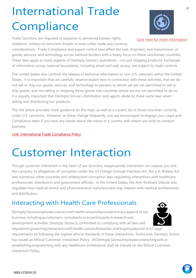## International Trade **Compliance**

<span id="page-9-0"></span>Trade Sanctions are imposed in response to perceived human-rights violations, military or terroristic threats or even unfair trade and currency

considerations. Trade Compliance and export control laws affect the sale, shipment, and transmission of goods, services, and technology across national borders with a heavy focus on these sanctioned countries. These laws apply to many aspects of Dentsply Sirona's operations – not just shipping products. Exchanges of information across national boundaries, including email and web access, are subject to trade controls.

The United States also controls the release of technical information to non-U.S. nationals within the United States. It is important that we carefully observe export laws in connection with these activities, that we do not sell or ship our goods, services, and technology to persons to whom we are not permitted to sell or ship goods, and not selling or shipping those goods into countries where we are not permitted to do so. It is equally important that Dentsply Sirona's distributors and agents abide by these same laws when selling and distributing our products.

The link below provides more guidance on this topic as well as a current list of those countries currently under U.S. sanctions. However, as these change frequently, you are encouraged to engage your Legal and Compliance team if you have any doubt about the status of a country with whom you wish to conduct business.

[Link: International Trade Compliance Policy](https://dentsplysirona.sharepoint.com/sites/ComplianceEthics/CodesPolicy/Forms/AllItems.aspx?id=%2Fsites%2FComplianceEthics%2FCodesPolicy%2FPolicies%2FInternational%20Trade%20Compliance%20Policy%2Epdf&parent=%2Fsites%2FComplianceEthics%2FCodesPolicy%2FPolicies)

### Customer Interaction

<span id="page-9-1"></span>Though customer interaction is the heart of our business, inappropriate interaction can expose you and the company to allegations of corruption under the US Foreign Corrupt Practices Act, the U.K. Bribery Act and numerous other countries anti-bribery/anti-corruption laws regulating interactions with healthcare professionals, distributors and government officials. In the United States, the Anti-Kickback Statute also regulates how medical device and pharmaceutical manufacturers may interact with medical professionals and distributors.

### Interacting with Health Care Professionals

Dentsply Sirona employees interact with health care professionals in many aspects of our business, including as customers, consultants, or as participants in research and development activities. Dentsply Sirona is committed to complying with all laws and

regulations governing interactions with health care professionals, and to going beyond strict legal requirements by following the highest ethical standards in these interactions. To this end, Dentsply Sirona has issued an Ethical Customer Interaction Policy. All Dentsply Sirona employees interacting with or establishing programming with any healthcare professional shall be trained on the Ethical Customer Interaction Policy.



[Click Here for more information](https://dentsplysirona.sharepoint.com/:p:/s/ComplianceEthics/EbjXP2PK05pDqzoHZF00w1EBVv8JEpYd1-h6SKpKwvgIcg?rtime=DtJoPHUm10g)



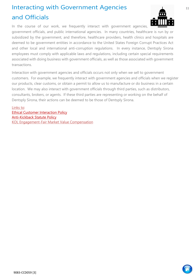### <span id="page-10-0"></span>Interacting with Government Agencies and Officials



In the course of our work, we frequently interact with government agencies, government officials, and public international agencies. In many countries, healthcare is run by or subsidized by the government, and therefore, healthcare providers, health clinics and hospitals are deemed to be government entities in accordance to the United States Foreign Corrupt Practices Act and other local and international anti-corruption regulations. In every instance, Dentsply Sirona employees must comply with applicable laws and regulations, including certain special requirements associated with doing business with government officials, as well as those associated with government transactions.

Interaction with government agencies and officials occurs not only when we sell to government customers. For example, we frequently interact with government agencies and officials when we register our products, clear customs, or obtain a permit to allow us to manufacture or do business in a certain location. We may also interact with government officials through third parties, such as distributors, consultants, brokers, or agents. If these third parties are representing or working on the behalf of Dentsply Sirona, their actions can be deemed to be those of Dentsply Sirona.

Links to: [Ethical Customer Interaction Policy](https://dentsplysirona.sharepoint.com/sites/ComplianceEthics/MarketingCompliance/Ethical%20Customer%20Interaction%20Policy/Ethical%20Customer%20Interaction%20Policy/Ethical%20Customer%20Interaction%20Policy_ENGLISH.pdf) [Anti-Kickback Statute Policy](https://dentsplysirona.sharepoint.com/sites/ComplianceEthics/CodesPolicy/Forms/AllItems.aspx?id=%2Fsites%2FComplianceEthics%2FCodesPolicy%2FPolicies%2FAnti%2DKickback%20Statute%20Policy%2Epdf&parent=%2Fsites%2FComplianceEthics%2FCodesPolicy%2FPolicies) [KOL Engagement-Fair Market Value Compensation](https://dentsplysirona.sharepoint.com/sites/intranet/en-us/functions/clinicalaffairs/pages/kol-management.aspx)

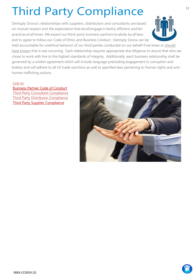## Third Party Compliance

<span id="page-11-0"></span>Dentsply Sirona's relationships with suppliers, distributors and consultants are based on mutual respect and the expectation thatweall engage in lawful, efficient, and fair practices at all times. We expect our third-party business partners to abide by all laws and to agree to follow our Code of Ethics and Business Conduct. Dentsply Sirona can be



held accountable for unethical behavior of our third parties conducted on our behalf if we knew or should have known that it was occurring. Each relationship requires appropriate due diligence to assure that who we chose to work with live to the highest standards of integrity. Additionally, each business relationship shall be governed by a written agreement which will include language precluding engagement in corruption and bribery and will adhere to all US trade sanctions as well as specified laws pertaining to human rights and antihuman trafficking actions.

#### Link to:

[Business Partner Code of Conduct](https://dentsplysirona.sharepoint.com/sites/ComplianceEthics/CodesPolicy/Forms/AllItems.aspx?id=%2Fsites%2FComplianceEthics%2FCodesPolicy%2FBusiness%20Partner%20Code%20of%20Conduct%2FBusiness%20Partner%20Code%20of%20Conduct%2Epdf&parent=%2Fsites%2FComplianceEthics%2FCodesPolicy%2FBusiness%20Partner%20Code%20of%20Conduct) [Third Party Consultant Compliance](https://dentsplysirona.sharepoint.com/:b:/s/ComplianceEthics/EaU_q1do_ZVCq_x5R-oTjf4BdfSHKYmlrrr_KGkv1d546w?e=baX6tE) [Third Party Distributor Compliance](https://dentsplysirona.sharepoint.com/:b:/s/ComplianceEthics/Ef8vRU2EtupFlZitrHdIS8ABCL9-IoMRzcH2TdHofO7OLg?e=Wn7lXi) [Third Party Supplier Compliance](https://dentsplysirona.sharepoint.com/sites/ComplianceEthics/CodesPolicy/Forms/AllItems.aspx?id=%2Fsites%2FComplianceEthics%2FCodesPolicy%2FThird%20Party%20Documents%2FThird%20Party%20Supplier%20Compliance%2Epdf&parent=%2Fsites%2FComplianceEthics%2FCodesPolicy%2FThird%20Party%20Documents)



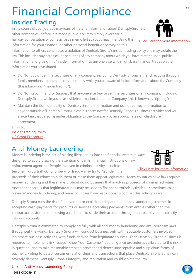## Financial Compliance

### Insider Trading

<span id="page-12-0"></span>In the course of your job, you may learn of material information about Dentsply Sirona or other companies, before it is made public. You may simply overhear a hallway conversation or come across a memo left at a copy machine. Using this

information for your financial or other personal benefit or conveying this information to others constitutes a violation of Dentsply Sirona's insidertrading policy and may violate the law.This includes buying or selling securities of any company about which you have material non-public

information and giving this "inside information" to anyone else who might base financial trades on the information you have shared.

- Do Not Buy or Sell the securities of any company, including Dentsply Sirona, either directly orthrough family members or other persons or entities, while you are aware of inside information about the Company (this is known as "insider trading").
- Do Not Recommend or Suggest that anyone else buy or sell the securities of any company,including Dentsply Sirona, while you have inside information about the Company (this is known as "tipping").
- Maintain the Confidentiality of Dentsply Sirona information and do not convey information to anyone outside of Dentsply Sirona unless it is necessary for Dentsply Sirona's business activities and you are certain that person is under obligation to the Company by an appropriate non-disclosure agreement.

Links to: [Insider Trading Policy](https://dentsplysirona.sharepoint.com/sites/ComplianceEthics/CodesPolicy/Forms/AllItems.aspx?id=%2Fsites%2FComplianceEthics%2FCodesPolicy%2FPolicies%2FInsider%20Trading%20Policy%2Epdf&parent=%2Fsites%2FComplianceEthics%2FCodesPolicy%2FPolicies) [US Grant Procedure](https://dentsplysirona.sharepoint.com/sites/ComplianceEthics/CodesPolicy/Forms/AllItems.aspx?id=%2Fsites%2FComplianceEthics%2FCodesPolicy%2FPolicies%2FU%2ES%2E%20Grant%20Policy%2Epdf&parent=%2Fsites%2FComplianceEthics%2FCodesPolicy%2FPolicies)

### <span id="page-12-1"></span>Anti-Money Laundering

Money laundering is the act of placing illegal gains into the financial system in ways designed to avoid drawing the attention of banks, financial institutions or law enforcement agencies. People involved in criminal activity – such as [Click Here for more information](https://dentsplysirona.sharepoint.com/:p:/s/ComplianceEthics/EQHEgOm4YcxCu2ExJeST_N0B8G-mR8pMPyhkA_jNtyoYHg?rtime=x0S4_HUm10g)

terrorism, drug trafficking, bribery, or fraud – may try to "launder" the proceeds of their crimes to hide them or make them appear legitimate. Many countries have laws against money laundering and these laws prohibit doing business that involves proceeds of criminal activities. Another concern is that legitimate funds may be used to finance terroristic activities – sometimes called "reverse" money laundering, and many countries have restrictions to combat this activity as well.

Dentsply Sirona runs the risk of inadvertent or explicit participation in money laundering schemes in accepting cash-payments for products or services, accepting payments from entities other than the contractual customer, or allowing a customer to settle their account through multiple payments directly into our accounts.

Dentsply Sirona is committed to complying fully with all anti-money laundering and anti-terrorism laws throughout the world. Dentsply Sirona will conduct business only with reputable customers involved in legitimate business activities, with funds derived from legitimate sources. Each Dentsply Sirona business is required to implement risk- based "Know Your Customer" due diligence procedures calibrated to the risk in question, and to take reasonable steps to prevent and detect unacceptable and suspicious forms of payment. Failing to detect customer relationships and transactions that place Dentsply Sirona at risk can severely damage Dentsply Sirona's integrity and reputation and could violate the law.

#### Link to: [Anti-Money Laundering](https://dentsplysirona.sharepoint.com/sites/ComplianceEthics/CodesPolicy/Forms/AllItems.aspx?id=%2Fsites%2FComplianceEthics%2FCodesPolicy%2FPolicies%2FAnti%2DMoney%20Laundering%20Policy%2Epdf&parent=%2Fsites%2FComplianceEthics%2FCodesPolicy%2FPolicies) Polic[y](https://dentsplysirona.sharepoint.com/sites/ComplianceEthics/CodesPolicy/Forms/AllItems.aspx?id=%2Fsites%2FComplianceEthics%2FCodesPolicy%2FPolicies%2FAnti%2DMoney%20Laundering%20Policy%2Epdf&parent=%2Fsites%2FComplianceEthics%2FCodesPolicy%2FPolicies)

9083-CCD059 [3]

13

[Click Here for more information](https://dentsplysirona.sharepoint.com/:p:/s/ComplianceEthics/EQHbE9JgDBBBq2tDZ1RPiaABCF5kMVOS0dtKHoRPXmsX4g?rtime=B5KRUQ8n10g)

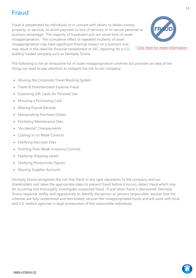### Fraud

<span id="page-13-0"></span>Fraud is perpetrated by individuals or in concert with others to obtain money, property, or services; to avoid payment or loss of services; or to secure personal or business advantage. The majority of fraudulent acts are some form of asset misappropriation. The cumulative effect of repeated incidents of asset misappropriation may have significant financial impact on a business and may result in the need for financial restatement or SEC reporting for a U.S., publicly traded company such as Dentsply Sirona.



[Click Here for more information](https://dentsplysirona.sharepoint.com/:p:/s/ComplianceEthics/EWK_XlA5iBxIkTm8dOnFyYMBmjtH5ZUjKI7C8BibMwJ6WQ?rtime=VIFM93Mm10g)

The following is not an exhaustive list of asset misappropriation schemes but provides an idea of the things we need to pay attention to mitigate the risk to our company:

- Abusing the Corporate Travel Booking System
- Travel & Entertainment Expense Fraud
- Expensing Gift Cards for Personal Use
- Misusing a Purchasing Card
- Altering Payroll Records
- Manipulating Purchase Orders
- Pocketing Maintenance Fees
- "Accidental" Overpayments
- Cashing in on Weak Controls
- Falsifying Recruiter Fees
- Profiting from Weak Inventory Controls
- Falsifying Shipping Labels
- Falsifying Productivity Figures
- Abusing Supplier Accounts

Dentsply Sirona recognizes the risk that fraud of any type represents to the company and our shareholders and takes the appropriate steps to prevent fraud before it occurs, detect fraud which may be occurring and thoroughly investigates suspected fraud. If and when fraud is discovered, Dentsply Sirona responds swiftly and aggressively to identify the person or persons responsible, assures that the schemes are fully understood and terminated, recover the misappropriated funds and will work with local and U.S. federal agencies in legal prosecution of the responsible individuals.

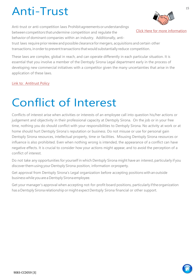### Anti-Trust

<span id="page-14-0"></span>Anti-trust or anti-competition laws Prohibitagreementsorunderstandings between competitors that undermine competition and regulate the behavior of dominant companies within an industry. Additionally, anti-



15

[Click Here for more information](https://dentsplysirona.sharepoint.com/:p:/s/ComplianceEthics/EVCX6aCjzjdGpjl6dwwocAkBkuo1oMW9BrLwR7QLGINDgA?rtime=nkEzD1wn10g)

trust laws require prior review and possible clearance for mergers, acquisitions and certain other transactions, in order to prevent transactions that would substantially reduce competition.

These laws are complex, global in reach, and can operate differently in each particular situation. It is essential that you involve a member of the Dentsply Sirona Legal department early in the process of developing new commercial initiatives with a competitor given the many uncertainties that arise in the application of these laws.

[Link to: Antitrust Policy](https://dentsplysirona.sharepoint.com/sites/ComplianceEthics/CodesPolicy/Forms/AllItems.aspx?id=%2Fsites%2FComplianceEthics%2FCodesPolicy%2FPolicies%2FAntitrust%20Policy%2Epdf&parent=%2Fsites%2FComplianceEthics%2FCodesPolicy%2FPolicies)

### <span id="page-14-1"></span>Conflict of Interest

Conflicts of interest arise when activities or interests of an employee call into question his/her actions or judgement and objectivity in their professional capacity at Dentsply Sirona. On the job or in your free time, nothing you do should conflict with your responsibilities to Dentsply Sirona. No activity at work or at home should hurt Dentsply Sirona's reputation or business. Do not misuse or use for personal gain Dentsply Sirona resources, intellectual property, time or facilities. Misusing Dentsply Sirona resources or influence is also prohibited. Even when nothing wrong is intended, the appearance of a conflict can have negative effects. It is crucial to consider how your actions might appear, and to avoid the perception of a conflict of interest.

Do not take any opportunities for yourself in which Dentsply Sirona might have an interest, particularly if you discoverthem using your Dentsply Sirona position, information orproperty.

Get approval from Dentsply Sirona's Legal organization before accepting positions with anoutside businesswhile youarea Dentsply Sirona employee.

Get your manager's approval when accepting not-for-profit board positions, particularly if the organization has a Dentsply Sirona relationship or might expect Dentsply Sirona financial or other support.

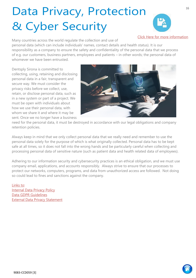## Data Privacy, Protection & Cyber Security



[Click Here for more information](https://dentsplysirona.sharepoint.com/sites/ComplianceEthics/DataPrivacy/DataPrivacyDocs/Forms/AllItems.aspx?id=%2Fsites%2FComplianceEthics%2FDataPrivacy%2FDataPrivacyDocs%2FData%20Privacy%2Epdf&parent=%2Fsites%2FComplianceEthics%2FDataPrivacy%2FDataPrivacyDocs&p=true)

<span id="page-15-0"></span>Many countries across the world regulate the collection and use of personal data (which can include individuals' names, contact details and health status). It is our

responsibility as a company to ensure the safety and confidentiality of the personal data that we process of e.g. our customers, business partners, employees and patients – in other words; the personal data of whomever we have been entrusted.

Dentsply Sirona is committed to collecting, using, retaining and disclosing personal data in a fair, transparent and secure way. We must consider the privacy risks before we collect, use, retain, or disclose personal data, such as in a new system or part of a project. We must be open with individuals about how we use their personal data, with whom we share it and where it may be sent. Once we no longer have a business



need for the personal data, it must be destroyed in accordance with our legal obligations and company retention policies.

Always keep in mind that we only collect personal data that we really need and remember to use the personal data solely for the purpose of which is what originally collected. Personal data has to be kept safe at all times, so it does not fall into the wrong hands and be particularly careful when collecting and processing personal data of sensitive nature (such as patient data and health related data of employees).

Adhering to our information security and cybersecurity practices is an ethical obligation, and we must use company email, applications, and accounts responsibly. Always strive to ensure that our processes to protect our networks, computers, programs, and data from unauthorized access are followed. Not doing so could lead to fines and sanctions against the company.

Links to: **[Internal Data Privacy Policy](https://dentsplysirona.sharepoint.com/:b:/s/ComplianceEthics/DataPrivacy/EX8kvF0X5LNPv1M3jG1BZRABHOBaQmB5Twn136M0vXUhyw?e=vv7q1Q)** [Data GDPR Guidelines](https://dentsplysirona.sharepoint.com/sites/Intranet/en-us/functions/EthicsCompliance/Pages/Data-Privacy.aspx) [External Data Privacy Statement](https://www.dentsplysirona.com/en/legal/privacy-policy.html)

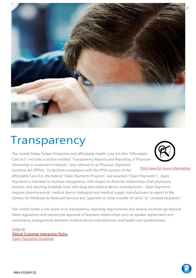<span id="page-16-0"></span>

### **Transparency**

The United States Patient Protection and Affordable Health Care Act (the "Affordable Care Act") includes a section entitled "Transparency Reports and Reporting of Physician

Ownership or Investment Interests," also referred to as Physician Payments Sunshine Act (PPSA). To facilitate compliance with the PPSA portion of the



[Click Here for more information](https://dentsplysirona.sharepoint.com/sites/intranet/en-us/functions/ethicscompliance/pages/open-payments-and-transparency.aspx)

Affordable Care Act, the federal "Open Payments Program" was enacted ("Open Payments"). Open Payments is intended to increase transparency with respect to financial relationships that physicians, dentists, and teaching hospitals have with drug and medical device manufacturers. Open Payments requires pharmaceutical, medical device, biological and medical supply manufacturers to report to the Centers for Medicare & Medicaid Services any "payment or other transfer of value" to "covered recipients".

The United States is not alone in its transparency reporting requirements and several countries go beyond these regulations and require pre-approval of business relationships such as speaker agreements and consultancy arrangements between medical device manufacturers and health-care professionals.

Links to: [Ethical Customer Interaction Policy](https://dentsplysirona.sharepoint.com/sites/ComplianceEthics/MarketingCompliance/Ethical%20Customer%20Interaction%20Policy/Ethical%20Customer%20Interaction%20Policy/Ethical%20Customer%20Interaction%20Policy_ENGLISH.pdf) [Open Payments Guideline](https://dentsplysirona.sharepoint.com/sites/ComplianceEthics/MarketingCompliance/Shared%20Documents/Dentsply%20Sirona%20Open%20Payments%20Procedure%20Guideline_2018%20update.pdf)

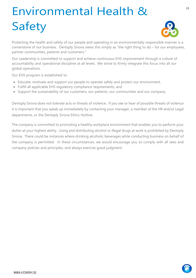## <span id="page-17-0"></span>Environmental Health & Safety



Protecting the health and safety of our people and operating in an environmentally responsible manner is a cornerstone of our business. Dentsply Sirona views this simply as "the right thing to do – for our employees, partner communities, patients and customers."

Our Leadership is committed to support and achieve continuous EHS improvement through a culture of accountability and operational discipline at all levels. We strive to firmly integrate this focus into all our global operations.

Our EHS program is established to:

- Educate, motivate and support our people to operate safely and protect our environment,
- Fulfill all applicable EHS regulatory compliance requirements, and
- Support the sustainability of our customers, our patients, our communities and our company.

Dentsply Sirona does not tolerate acts or threats of violence. If you see or hear of possible threats of violence it is important that you speak up immediately by contacting your manager, a member of the HR and/or Legal departments, or the Dentsply Sirona Ethics Hotline.

The company is committed to promoting a healthy workplace environment that enables you to perform your duties at your highest ability. Using and distributing alcohol or illegal drugs at work is prohibited by Dentsply Sirona. There could be instances where drinking alcoholic beverages while conducting business on behalf of the company is permitted. In these circumstances, we would encourage you to comply with all laws and company policies and principles, and always exercise good judgment.

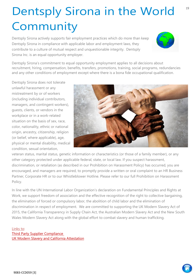## Dentsply Sirona in the World Community

<span id="page-18-0"></span>Dentsply Sirona actively supports fair employment practices which do more than keep Dentsply Sirona in compliance with applicable labor and employment laws, they contribute to a culture of mutual respect and unquestionable integrity. Dentsply Sirona Inc. is an equal opportunity employer.



Dentsply Sirona's commitment to equal opportunity employment applies to all decisions about recruitment, hiring, compensation, benefits, transfers, promotions, training, social programs, redundancies and any other conditions of employment except where there is a bona fide occupational qualification.

Dentsply Sirona does not tolerate unlawful harassment or any mistreatment by or of workers (including individual contributors, managers, and contingent workers), guests, clients, or vendors in the workplace or in a work-related situation on the basis of sex, race, color, nationality, ethnic or national origin, ancestry, citizenship, religion (or belief, where applicable), age, physical or mental disability, medical condition, sexual orientation,



veteran status, marital status, genetic information or characteristics (or those of a family member), or any other category protected under applicable federal, state, or local law. If you suspect harassment, discrimination, or retaliation (as described in our Prohibition on Harassment Policy) has occurred, you are encouraged, and managers are required, to promptly provide a written or oral complaint to an HR Business Partner, Corporate HR or to our Whistleblower Hotline. Please refer to our full Prohibition on Harassment Policy.

In line with the UN International Labor Organization's declaration on Fundamental Principles and Rights at Work, we support freedom of association and the effective recognition of the right to collective bargaining, the elimination of forced or compulsory labor, the abolition of child labor and the elimination of discrimination in respect of employment. We are committed to supporting the UK Modern Slavery Act of 2015, the California Transparency in Supply Chain Act, the Australian Modern Slavery Act and the New South Wales Modern Slavery Act along with the global effort to combat slavery and human trafficking.

#### Links to: [Third Party Supplier Compliance](https://dentsplysirona.sharepoint.com/sites/ComplianceEthics/CodesPolicy/Forms/AllItems.aspx?id=%2Fsites%2FComplianceEthics%2FCodesPolicy%2FThird%20Party%20Documents%2FThird%20Party%20Supplier%20Compliance%2Epdf&parent=%2Fsites%2FComplianceEthics%2FCodesPolicy%2FThird%20Party%20Documents)  [UK Modern Slavery and California Attestation](https://dentsplysirona.sharepoint.com/sites/ComplianceEthics/CodesPolicy/Forms/AllItems.aspx?id=%2Fsites%2FComplianceEthics%2FCodesPolicy%2FPolicies%2FAttestation%20for%20UK%20Modern%20Slavery%20Act%2C%20California%20Transparency%20in%20Supply%20Chain%20Act%2C%20Australian%20Modern%20Slavery%20Act%2Epdf&parent=%2Fsites%2FComplianceEthics%2FCodesPolicy%2FPolicies)